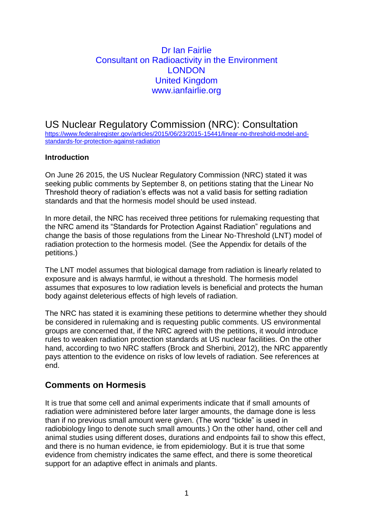## Dr Ian Fairlie Consultant on Radioactivity in the Environment **LONDON** United Kingdom www.ianfairlie.org

US Nuclear Regulatory Commission (NRC): Consultation [https://www.federalregister.gov/articles/2015/06/23/2015-15441/linear-no-threshold-model-and](https://www.federalregister.gov/articles/2015/06/23/2015-15441/linear-no-threshold-model-and-standards-for-protection-against-radiation)[standards-for-protection-against-radiation](https://www.federalregister.gov/articles/2015/06/23/2015-15441/linear-no-threshold-model-and-standards-for-protection-against-radiation)

#### **Introduction**

On June 26 2015, the US Nuclear Regulatory Commission (NRC) stated it was seeking public comments by September 8, on petitions stating that the Linear No Threshold theory of radiation's effects was not a valid basis for setting radiation standards and that the hormesis model should be used instead.

In more detail, the NRC has received three petitions for rulemaking requesting that the NRC amend its "Standards for Protection Against Radiation" regulations and change the basis of those regulations from the Linear No-Threshold (LNT) model of radiation protection to the hormesis model. (See the Appendix for details of the petitions.)

The LNT model assumes that biological damage from radiation is linearly related to exposure and is always harmful, ie without a threshold. The hormesis model assumes that exposures to low radiation levels is beneficial and protects the human body against deleterious effects of high levels of radiation.

The NRC has stated it is examining these petitions to determine whether they should be considered in rulemaking and is requesting public comments. US environmental groups are concerned that, if the NRC agreed with the petitions, it would introduce rules to weaken radiation protection standards at US nuclear facilities. On the other hand, according to two NRC staffers (Brock and Sherbini, 2012), the NRC apparently pays attention to the evidence on risks of low levels of radiation. See references at end.

## **Comments on Hormesis**

It is true that some cell and animal experiments indicate that if small amounts of radiation were administered before later larger amounts, the damage done is less than if no previous small amount were given. (The word "tickle" is used in radiobiology lingo to denote such small amounts.) On the other hand, other cell and animal studies using different doses, durations and endpoints fail to show this effect, and there is no human evidence, ie from epidemiology. But it is true that some evidence from chemistry indicates the same effect, and there is some theoretical support for an adaptive effect in animals and plants.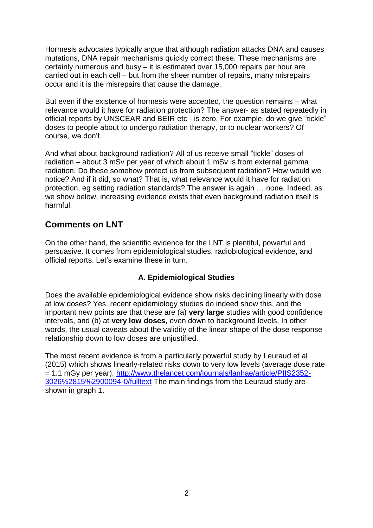Hormesis advocates typically argue that although radiation attacks DNA and causes mutations, DNA repair mechanisms quickly correct these. These mechanisms are certainly numerous and busy – it is estimated over 15,000 repairs per hour are carried out in each cell – but from the sheer number of repairs, many misrepairs occur and it is the misrepairs that cause the damage.

But even if the existence of hormesis were accepted, the question remains – what relevance would it have for radiation protection? The answer- as stated repeatedly in official reports by UNSCEAR and BEIR etc - is zero. For example, do we give "tickle" doses to people about to undergo radiation therapy, or to nuclear workers? Of course, we don't.

And what about background radiation? All of us receive small "tickle" doses of radiation – about 3 mSv per year of which about 1 mSv is from external gamma radiation. Do these somehow protect us from subsequent radiation? How would we notice? And if it did, so what? That is, what relevance would it have for radiation protection, eg setting radiation standards? The answer is again ….none. Indeed, as we show below, increasing evidence exists that even background radiation itself is harmful.

## **Comments on LNT**

On the other hand, the scientific evidence for the LNT is plentiful, powerful and persuasive. It comes from epidemiological studies, radiobiological evidence, and official reports. Let's examine these in turn.

## **A. Epidemiological Studies**

Does the available epidemiological evidence show risks declining linearly with dose at low doses? Yes, recent epidemiology studies do indeed show this, and the important new points are that these are (a) **very large** studies with good confidence intervals, and (b) at **very low doses**, even down to background levels. In other words, the usual caveats about the validity of the linear shape of the dose response relationship down to low doses are unjustified.

The most recent evidence is from a particularly powerful study by Leuraud et al (2015) which shows linearly-related risks down to very low levels (average dose rate = 1.1 mGy per year). [http://www.thelancet.com/journals/lanhae/article/PIIS2352-](http://www.thelancet.com/journals/lanhae/article/PIIS2352-3026%2815%2900094-0/fulltext) [3026%2815%2900094-0/fulltext](http://www.thelancet.com/journals/lanhae/article/PIIS2352-3026%2815%2900094-0/fulltext) The main findings from the Leuraud study are shown in graph 1.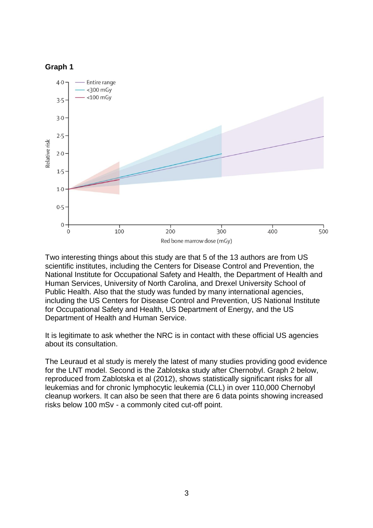



Two interesting things about this study are that 5 of the 13 authors are from US scientific institutes, including the Centers for Disease Control and Prevention, the National Institute for Occupational Safety and Health, the Department of Health and Human Services, University of North Carolina, and Drexel University School of Public Health. Also that the study was funded by many international agencies, including the US Centers for Disease Control and Prevention, US National Institute for Occupational Safety and Health, US Department of Energy, and the US Department of Health and Human Service.

It is legitimate to ask whether the NRC is in contact with these official US agencies about its consultation.

The Leuraud et al study is merely the latest of many studies providing good evidence for the LNT model. Second is the Zablotska study after Chernobyl. Graph 2 below, reproduced from Zablotska et al (2012), shows statistically significant risks for all leukemias and for chronic lymphocytic leukemia (CLL) in over 110,000 Chernobyl cleanup workers. It can also be seen that there are 6 data points showing increased risks below 100 mSv - a commonly cited cut-off point.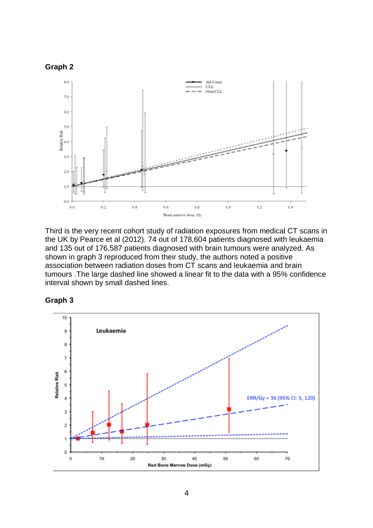

Third is the very recent cohort study of radiation exposures from medical CT scans in the UK by Pearce et al (2012). 74 out of 178,604 patients diagnosed with leukaemia and 135 out of 176,587 patients diagnosed with brain tumours were analyzed. As shown in graph 3 reproduced from their study, the authors noted a positive association between radiation doses from CT scans and leukaemia and brain tumours .The large dashed line showed a linear fit to the data with a 95% confidence interval shown by small dashed lines.



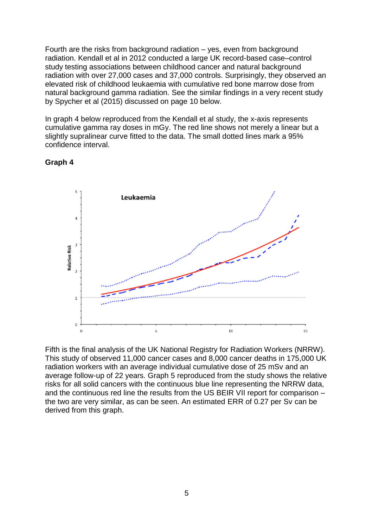Fourth are the risks from background radiation – yes, even from background radiation. Kendall et al in 2012 conducted a large UK record-based case–control study testing associations between childhood cancer and natural background radiation with over 27,000 cases and 37,000 controls. Surprisingly, they observed an elevated risk of childhood leukaemia with cumulative red bone marrow dose from natural background gamma radiation. See the similar findings in a very recent study by Spycher et al (2015) discussed on page 10 below.

In graph 4 below reproduced from the Kendall et al study, the x-axis represents cumulative gamma ray doses in mGy. The red line shows not merely a linear but a slightly supralinear curve fitted to the data. The small dotted lines mark a 95% confidence interval.



#### **Graph 4**

Fifth is the final analysis of the UK National Registry for Radiation Workers (NRRW). This study of observed 11,000 cancer cases and 8,000 cancer deaths in 175,000 UK radiation workers with an average individual cumulative dose of 25 mSv and an average follow-up of 22 years. Graph 5 reproduced from the study shows the relative risks for all solid cancers with the continuous blue line representing the NRRW data, and the continuous red line the results from the US BEIR VII report for comparison – the two are very similar, as can be seen. An estimated ERR of 0.27 per Sv can be derived from this graph.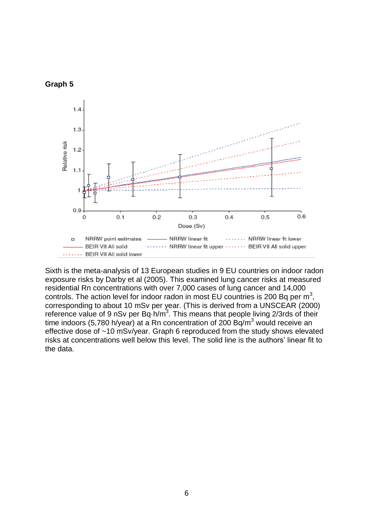



Sixth is the meta-analysis of 13 European studies in 9 EU countries on indoor radon exposure risks by Darby et al (2005). This examined lung cancer risks at measured residential Rn concentrations with over 7,000 cases of lung cancer and 14,000 controls. The action level for indoor radon in most EU countries is 200 Bq per  $m^3$ , corresponding to about 10 mSv per year. (This is derived from a UNSCEAR (2000) reference value of 9 nSv per Bq $\cdot$ h/m<sup>3</sup>. This means that people living 2/3rds of their time indoors (5,780 h/year) at a Rn concentration of 200 Bq/m<sup>3</sup> would receive an effective dose of ~10 mSv/year. Graph 6 reproduced from the study shows elevated risks at concentrations well below this level. The solid line is the authors' linear fit to the data.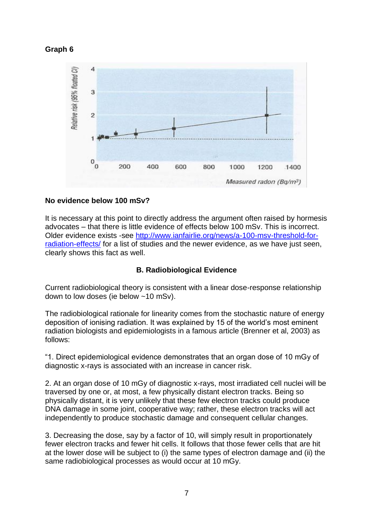### **Graph 6**



#### **No evidence below 100 mSv?**

It is necessary at this point to directly address the argument often raised by hormesis advocates – that there is little evidence of effects below 100 mSv. This is incorrect. Older evidence exists -see [http://www.ianfairlie.org/news/a-100-msv-threshold-for](http://www.ianfairlie.org/news/a-100-msv-threshold-for-radiation-effects/)[radiation-effects/](http://www.ianfairlie.org/news/a-100-msv-threshold-for-radiation-effects/) for a list of studies and the newer evidence, as we have just seen, clearly shows this fact as well.

### **B. Radiobiological Evidence**

Current radiobiological theory is consistent with a linear dose-response relationship down to low doses (ie below ~10 mSv).

The radiobiological rationale for linearity comes from the stochastic nature of energy deposition of ionising radiation. It was explained by 15 of the world's most eminent radiation biologists and epidemiologists in a famous article (Brenner et al, 2003) as follows:

"1. Direct epidemiological evidence demonstrates that an organ dose of 10 mGy of diagnostic x-rays is associated with an increase in cancer risk.

2. At an organ dose of 10 mGy of diagnostic x-rays, most irradiated cell nuclei will be traversed by one or, at most, a few physically distant electron tracks. Being so physically distant, it is very unlikely that these few electron tracks could produce DNA damage in some joint, cooperative way; rather, these electron tracks will act independently to produce stochastic damage and consequent cellular changes.

3. Decreasing the dose, say by a factor of 10, will simply result in proportionately fewer electron tracks and fewer hit cells. It follows that those fewer cells that are hit at the lower dose will be subject to (i) the same types of electron damage and (ii) the same radiobiological processes as would occur at 10 mGy.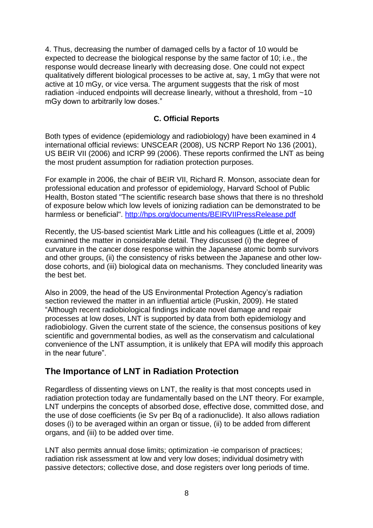4. Thus, decreasing the number of damaged cells by a factor of 10 would be expected to decrease the biological response by the same factor of 10; i.e., the response would decrease linearly with decreasing dose. One could not expect qualitatively different biological processes to be active at, say, 1 mGy that were not active at 10 mGy, or vice versa. The argument suggests that the risk of most radiation -induced endpoints will decrease linearly, without a threshold, from ~10 mGy down to arbitrarily low doses."

### **C. Official Reports**

Both types of evidence (epidemiology and radiobiology) have been examined in 4 international official reviews: UNSCEAR (2008), US NCRP Report No 136 (2001), US BEIR VII (2006) and ICRP 99 (2006). These reports confirmed the LNT as being the most prudent assumption for radiation protection purposes.

For example in 2006, the chair of BEIR VII, Richard R. Monson, associate dean for professional education and professor of epidemiology, Harvard School of Public Health, Boston stated "The scientific research base shows that there is no threshold of exposure below which low levels of ionizing radiation can be demonstrated to be harmless or beneficial".<http://hps.org/documents/BEIRVIIPressRelease.pdf>

Recently, the US-based scientist Mark Little and his colleagues (Little et al, 2009) examined the matter in considerable detail. They discussed (i) the degree of curvature in the cancer dose response within the Japanese atomic bomb survivors and other groups, (ii) the consistency of risks between the Japanese and other lowdose cohorts, and (iii) biological data on mechanisms. They concluded linearity was the best bet.

Also in 2009, the head of the US Environmental Protection Agency's radiation section reviewed the matter in an influential article (Puskin, 2009). He stated "Although recent radiobiological findings indicate novel damage and repair processes at low doses, LNT is supported by data from both epidemiology and radiobiology. Given the current state of the science, the consensus positions of key scientific and governmental bodies, as well as the conservatism and calculational convenience of the LNT assumption, it is unlikely that EPA will modify this approach in the near future".

## **The Importance of LNT in Radiation Protection**

Regardless of dissenting views on LNT, the reality is that most concepts used in radiation protection today are fundamentally based on the LNT theory. For example, LNT underpins the concepts of absorbed dose, effective dose, committed dose, and the use of dose coefficients (ie Sv per Bq of a radionuclide). It also allows radiation doses (i) to be averaged within an organ or tissue, (ii) to be added from different organs, and (iii) to be added over time.

LNT also permits annual dose limits; optimization -ie comparison of practices; radiation risk assessment at low and very low doses; individual dosimetry with passive detectors; collective dose, and dose registers over long periods of time.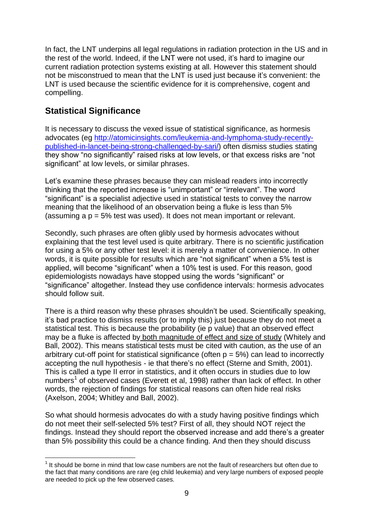In fact, the LNT underpins all legal regulations in radiation protection in the US and in the rest of the world. Indeed, if the LNT were not used, it's hard to imagine our current radiation protection systems existing at all. However this statement should not be misconstrued to mean that the LNT is used just because it's convenient: the LNT is used because the scientific evidence for it is comprehensive, cogent and compelling.

# **Statistical Significance**

<u>.</u>

It is necessary to discuss the vexed issue of statistical significance, as hormesis advocates (eg [http://atomicinsights.com/leukemia-and-lymphoma-study-recently](http://atomicinsights.com/leukemia-and-lymphoma-study-recently-published-in-lancet-being-strong-challenged-by-sari/)[published-in-lancet-being-strong-challenged-by-sari/\)](http://atomicinsights.com/leukemia-and-lymphoma-study-recently-published-in-lancet-being-strong-challenged-by-sari/) often dismiss studies stating they show "no significantly" raised risks at low levels, or that excess risks are "not significant" at low levels, or similar phrases.

Let's examine these phrases because they can mislead readers into incorrectly thinking that the reported increase is "unimportant" or "irrelevant". The word "significant" is a specialist adjective used in statistical tests to convey the narrow meaning that the likelihood of an observation being a fluke is less than 5% (assuming a p = 5% test was used). It does not mean important or relevant.

Secondly, such phrases are often glibly used by hormesis advocates without explaining that the test level used is quite arbitrary. There is no scientific justification for using a 5% or any other test level: it is merely a matter of convenience. In other words, it is quite possible for results which are "not significant" when a 5% test is applied, will become "significant" when a 10% test is used. For this reason, good epidemiologists nowadays have stopped using the words "significant" or "significance" altogether. Instead they use confidence intervals: hormesis advocates should follow suit.

There is a third reason why these phrases shouldn't be used. Scientifically speaking, it's bad practice to dismiss results (or to imply this) just because they do not meet a statistical test. This is because the probability (ie p value) that an observed effect may be a fluke is affected by both magnitude of effect and size of study (Whitely and Ball, 2002). This means statistical tests must be cited with caution, as the use of an arbitrary cut-off point for statistical significance (often  $p = 5\%$ ) can lead to incorrectly accepting the null hypothesis - ie that there's no effect (Sterne and Smith, 2001). This is called a type II error in statistics, and it often occurs in studies due to low numbers<sup>1</sup> of observed cases (Everett et al, 1998) rather than lack of effect. In other words, the rejection of findings for statistical reasons can often hide real risks (Axelson, 2004; Whitley and Ball, 2002).

So what should hormesis advocates do with a study having positive findings which do not meet their self-selected 5% test? First of all, they should NOT reject the findings. Instead they should report the observed increase and add there's a greater than 5% possibility this could be a chance finding. And then they should discuss

 $<sup>1</sup>$  It should be borne in mind that low case numbers are not the fault of researchers but often due to</sup> the fact that many conditions are rare (eg child leukemia) and very large numbers of exposed people are needed to pick up the few observed cases.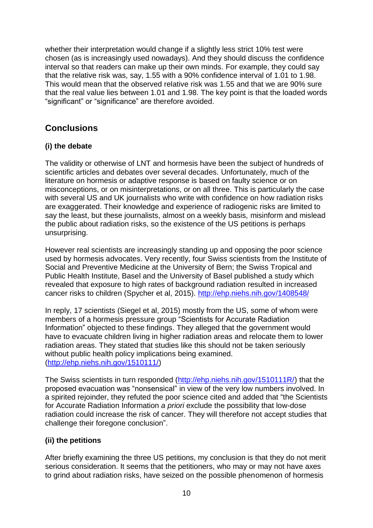whether their interpretation would change if a slightly less strict 10% test were chosen (as is increasingly used nowadays). And they should discuss the confidence interval so that readers can make up their own minds. For example, they could say that the relative risk was, say, 1.55 with a 90% confidence interval of 1.01 to 1.98. This would mean that the observed relative risk was 1.55 and that we are 90% sure that the real value lies between 1.01 and 1.98. The key point is that the loaded words "significant" or "significance" are therefore avoided.

# **Conclusions**

## **(i) the debate**

The validity or otherwise of LNT and hormesis have been the subject of hundreds of scientific articles and debates over several decades. Unfortunately, much of the literature on hormesis or adaptive response is based on faulty science or on misconceptions, or on misinterpretations, or on all three. This is particularly the case with several US and UK journalists who write with confidence on how radiation risks are exaggerated. Their knowledge and experience of radiogenic risks are limited to say the least, but these journalists, almost on a weekly basis, misinform and mislead the public about radiation risks, so the existence of the US petitions is perhaps unsurprising.

However real scientists are increasingly standing up and opposing the poor science used by hormesis advocates. Very recently, four Swiss scientists from the Institute of Social and Preventive Medicine at the University of Bern; the Swiss Tropical and Public Health Institute, Basel and the University of Basel published a study which revealed that exposure to high rates of background radiation resulted in increased cancer risks to children (Spycher et al, 2015). <http://ehp.niehs.nih.gov/1408548/>

In reply, 17 scientists (Siegel et al, 2015) mostly from the US, some of whom were members of a hormesis pressure group "Scientists for Accurate Radiation Information" objected to these findings. They alleged that the government would have to evacuate children living in higher radiation areas and relocate them to lower radiation areas. They stated that studies like this should not be taken seriously without public health policy implications being examined. [\(http://ehp.niehs.nih.gov/1510111/\)](http://ehp.niehs.nih.gov/1510111/)

The Swiss scientists in turn responded [\(http://ehp.niehs.nih.gov/1510111R/\)](http://ehp.niehs.nih.gov/1510111R/) that the proposed evacuation was "nonsensical" in view of the very low numbers involved. In a spirited rejoinder, they refuted the poor science cited and added that "the Scientists for Accurate Radiation Information *a priori* exclude the possibility that low-dose radiation could increase the risk of cancer. They will therefore not accept studies that challenge their foregone conclusion".

## **(ii) the petitions**

After briefly examining the three US petitions, my conclusion is that they do not merit serious consideration. It seems that the petitioners, who may or may not have axes to grind about radiation risks, have seized on the possible phenomenon of hormesis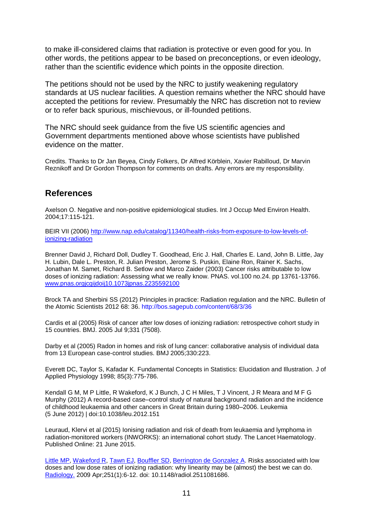to make ill-considered claims that radiation is protective or even good for you. In other words, the petitions appear to be based on preconceptions, or even ideology, rather than the scientific evidence which points in the opposite direction.

The petitions should not be used by the NRC to justify weakening regulatory standards at US nuclear facilities. A question remains whether the NRC should have accepted the petitions for review. Presumably the NRC has discretion not to review or to refer back spurious, mischievous, or ill-founded petitions.

The NRC should seek guidance from the five US scientific agencies and Government departments mentioned above whose scientists have published evidence on the matter.

Credits. Thanks to Dr Jan Beyea, Cindy Folkers, Dr Alfred Körblein, Xavier Rabilloud, Dr Marvin Reznikoff and Dr Gordon Thompson for comments on drafts. Any errors are my responsibility.

## **References**

Axelson O. Negative and non-positive epidemiological studies. Int J Occup Med Environ Health. 2004;17:115-121.

BEIR VII (2006) [http://www.nap.edu/catalog/11340/health-risks-from-exposure-to-low-levels-of](http://www.nap.edu/catalog/11340/health-risks-from-exposure-to-low-levels-of-ionizing-radiation)[ionizing-radiation](http://www.nap.edu/catalog/11340/health-risks-from-exposure-to-low-levels-of-ionizing-radiation)

Brenner David J, Richard Doll, Dudley T. Goodhead, Eric J. Hall, Charles E. Land, John B. Little, Jay H. Lubin, Dale L. Preston, R. Julian Preston, Jerome S. Puskin, Elaine Ron, Rainer K. Sachs, Jonathan M. Samet, Richard B. Setlow and Marco Zaider (2003) Cancer risks attributable to low doses of ionizing radiation: Assessing what we really know. PNAS. vol.100 no.24. pp 13761-13766. [www.pnas.orgjcgijdoij10.1073jpnas.2235592100](http://www.pnas.orgjcgijdoij10.1073jpnas.2235592100/)

Brock TA and Sherbini SS (2012) Principles in practice: Radiation regulation and the NRC. Bulletin of the Atomic Scientists 2012 68: 36. http://bos.sagepub.com/content/68/3/36

Cardis et al (2005) Risk of cancer after low doses of ionizing radiation: retrospective cohort study in 15 countries. BMJ. 2005 Jul 9;331 (7508).

Darby et al (2005) Radon in homes and risk of lung cancer: collaborative analysis of individual data from 13 European case-control studies. BMJ 2005;330:223.

Everett DC, Taylor S, Kafadar K. Fundamental Concepts in Statistics: Elucidation and Illustration. J of Applied Physiology 1998; 85(3):775-786.

Kendall G M, M P Little, R Wakeford, K J Bunch, J C H Miles, T J Vincent, J R Meara and M F G Murphy (2012) A record-based case–control study of natural background radiation and the incidence of childhood leukaemia and other cancers in Great Britain during 1980–2006. Leukemia (5 June 2012) | doi:10.1038/leu.2012.151

Leuraud, Klervi et al (2015) Ionising radiation and risk of death from leukaemia and lymphoma in radiation-monitored workers (INWORKS): an international cohort study. The Lancet Haematology. Published Online: 21 June 2015.

[Little MP,](http://www.ncbi.nlm.nih.gov/pubmed?term=Little%20MP%5BAuthor%5D&cauthor=true&cauthor_uid=19332841) [Wakeford R,](http://www.ncbi.nlm.nih.gov/pubmed?term=Wakeford%20R%5BAuthor%5D&cauthor=true&cauthor_uid=19332841) [Tawn EJ,](http://www.ncbi.nlm.nih.gov/pubmed?term=Tawn%20EJ%5BAuthor%5D&cauthor=true&cauthor_uid=19332841) [Bouffler SD,](http://www.ncbi.nlm.nih.gov/pubmed?term=Bouffler%20SD%5BAuthor%5D&cauthor=true&cauthor_uid=19332841) [Berrington de Gonzalez A.](http://www.ncbi.nlm.nih.gov/pubmed?term=Berrington%20de%20Gonzalez%20A%5BAuthor%5D&cauthor=true&cauthor_uid=19332841) Risks associated with low doses and low dose rates of ionizing radiation: why linearity may be (almost) the best we can do. [Radiology.](http://www.ncbi.nlm.nih.gov/pubmed/19332841) 2009 Apr;251(1):6-12. doi: 10.1148/radiol.2511081686.